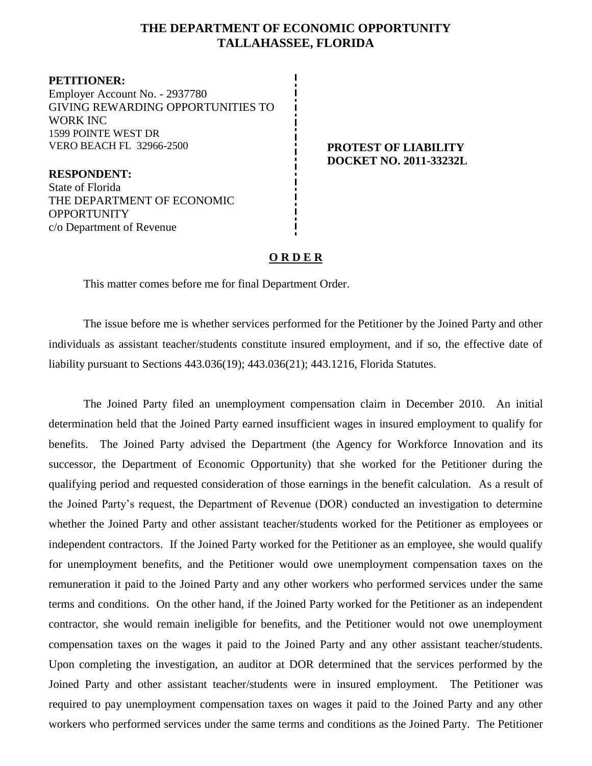## **THE DEPARTMENT OF ECONOMIC OPPORTUNITY TALLAHASSEE, FLORIDA**

**PETITIONER:** Employer Account No. - 2937780 GIVING REWARDING OPPORTUNITIES TO WORK INC 1599 POINTE WEST DR VERO BEACH FL 32966-2500 **PROTEST OF LIABILITY**

**RESPONDENT:** State of Florida THE DEPARTMENT OF ECONOMIC **OPPORTUNITY** c/o Department of Revenue

# **DOCKET NO. 2011-33232L**

## **O R D E R**

This matter comes before me for final Department Order.

The issue before me is whether services performed for the Petitioner by the Joined Party and other individuals as assistant teacher/students constitute insured employment, and if so, the effective date of liability pursuant to Sections 443.036(19); 443.036(21); 443.1216, Florida Statutes.

The Joined Party filed an unemployment compensation claim in December 2010.An initial determination held that the Joined Party earned insufficient wages in insured employment to qualify for benefits. The Joined Party advised the Department (the Agency for Workforce Innovation and its successor, the Department of Economic Opportunity) that she worked for the Petitioner during the qualifying period and requested consideration of those earnings in the benefit calculation. As a result of the Joined Party's request, the Department of Revenue (DOR) conducted an investigation to determine whether the Joined Party and other assistant teacher/students worked for the Petitioner as employees or independent contractors. If the Joined Party worked for the Petitioner as an employee, she would qualify for unemployment benefits, and the Petitioner would owe unemployment compensation taxes on the remuneration it paid to the Joined Party and any other workers who performed services under the same terms and conditions. On the other hand, if the Joined Party worked for the Petitioner as an independent contractor, she would remain ineligible for benefits, and the Petitioner would not owe unemployment compensation taxes on the wages it paid to the Joined Party and any other assistant teacher/students. Upon completing the investigation, an auditor at DOR determined that the services performed by the Joined Party and other assistant teacher/students were in insured employment. The Petitioner was required to pay unemployment compensation taxes on wages it paid to the Joined Party and any other workers who performed services under the same terms and conditions as the Joined Party. The Petitioner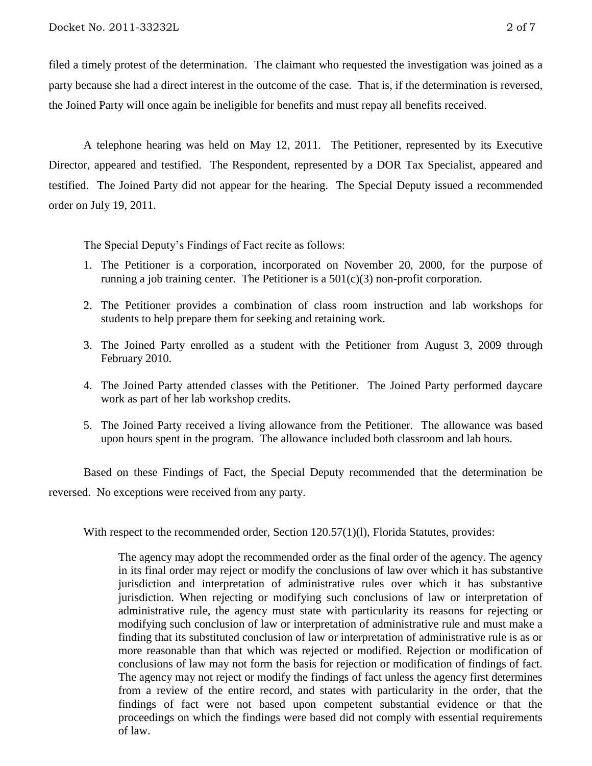filed a timely protest of the determination. The claimant who requested the investigation was joined as a party because she had a direct interest in the outcome of the case. That is, if the determination is reversed, the Joined Party will once again be ineligible for benefits and must repay all benefits received.

A telephone hearing was held on May 12, 2011.The Petitioner, represented by its Executive Director, appeared and testified. The Respondent, represented by a DOR Tax Specialist, appeared and testified. The Joined Party did not appear for the hearing. The Special Deputy issued a recommended order on July 19, 2011.

The Special Deputy's Findings of Fact recite as follows:

- 1. The Petitioner is a corporation, incorporated on November 20, 2000, for the purpose of running a job training center. The Petitioner is a  $501(c)(3)$  non-profit corporation.
- 2. The Petitioner provides a combination of class room instruction and lab workshops for students to help prepare them for seeking and retaining work.
- 3. The Joined Party enrolled as a student with the Petitioner from August 3, 2009 through February 2010.
- 4. The Joined Party attended classes with the Petitioner. The Joined Party performed daycare work as part of her lab workshop credits.
- 5. The Joined Party received a living allowance from the Petitioner. The allowance was based upon hours spent in the program. The allowance included both classroom and lab hours.

Based on these Findings of Fact, the Special Deputy recommended that the determination be reversed.No exceptions were received from any party.

With respect to the recommended order, Section 120.57(1)(1), Florida Statutes, provides:

The agency may adopt the recommended order as the final order of the agency. The agency in its final order may reject or modify the conclusions of law over which it has substantive jurisdiction and interpretation of administrative rules over which it has substantive jurisdiction. When rejecting or modifying such conclusions of law or interpretation of administrative rule, the agency must state with particularity its reasons for rejecting or modifying such conclusion of law or interpretation of administrative rule and must make a finding that its substituted conclusion of law or interpretation of administrative rule is as or more reasonable than that which was rejected or modified. Rejection or modification of conclusions of law may not form the basis for rejection or modification of findings of fact. The agency may not reject or modify the findings of fact unless the agency first determines from a review of the entire record, and states with particularity in the order, that the findings of fact were not based upon competent substantial evidence or that the proceedings on which the findings were based did not comply with essential requirements of law.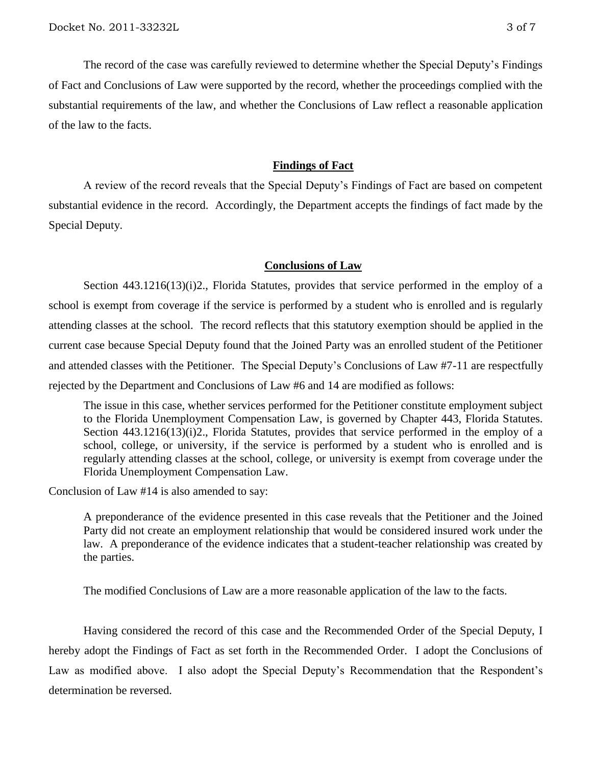The record of the case was carefully reviewed to determine whether the Special Deputy's Findings of Fact and Conclusions of Law were supported by the record, whether the proceedings complied with the substantial requirements of the law, and whether the Conclusions of Law reflect a reasonable application of the law to the facts.

#### **Findings of Fact**

A review of the record reveals that the Special Deputy's Findings of Fact are based on competent substantial evidence in the record. Accordingly, the Department accepts the findings of fact made by the Special Deputy.

#### **Conclusions of Law**

Section 443.1216(13)(i)2., Florida Statutes, provides that service performed in the employ of a school is exempt from coverage if the service is performed by a student who is enrolled and is regularly attending classes at the school. The record reflects that this statutory exemption should be applied in the current case because Special Deputy found that the Joined Party was an enrolled student of the Petitioner and attended classes with the Petitioner. The Special Deputy's Conclusions of Law #7-11 are respectfully rejected by the Department and Conclusions of Law #6 and 14 are modified as follows:

The issue in this case, whether services performed for the Petitioner constitute employment subject to the Florida Unemployment Compensation Law, is governed by Chapter 443, Florida Statutes. Section 443.1216(13)(i)2., Florida Statutes, provides that service performed in the employ of a school, college, or university, if the service is performed by a student who is enrolled and is regularly attending classes at the school, college, or university is exempt from coverage under the Florida Unemployment Compensation Law.

Conclusion of Law #14 is also amended to say:

A preponderance of the evidence presented in this case reveals that the Petitioner and the Joined Party did not create an employment relationship that would be considered insured work under the law. A preponderance of the evidence indicates that a student-teacher relationship was created by the parties.

The modified Conclusions of Law are a more reasonable application of the law to the facts.

Having considered the record of this case and the Recommended Order of the Special Deputy, I hereby adopt the Findings of Fact as set forth in the Recommended Order. I adopt the Conclusions of Law as modified above. I also adopt the Special Deputy's Recommendation that the Respondent's determination be reversed.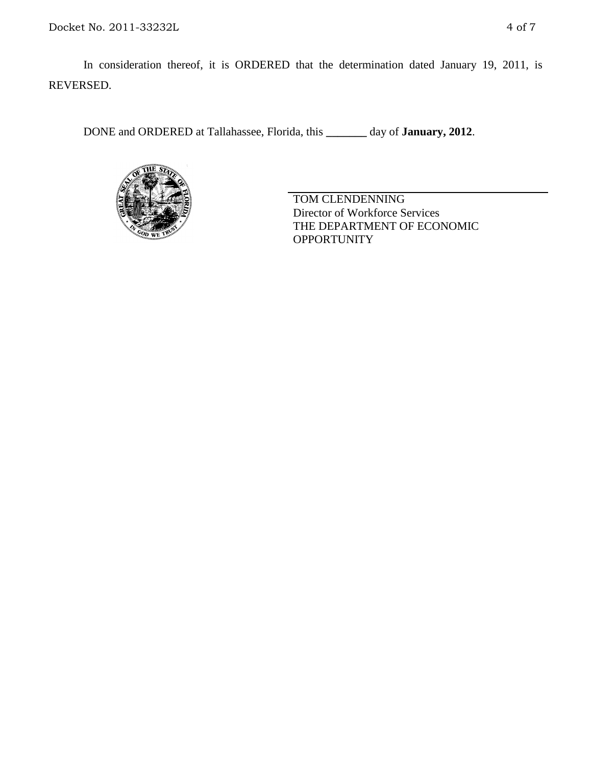In consideration thereof, it is ORDERED that the determination dated January 19, 2011, is REVERSED.

DONE and ORDERED at Tallahassee, Florida, this **\_\_\_\_\_\_\_** day of **January, 2012**.



TOM CLENDENNING Director of Workforce Services THE DEPARTMENT OF ECONOMIC **OPPORTUNITY**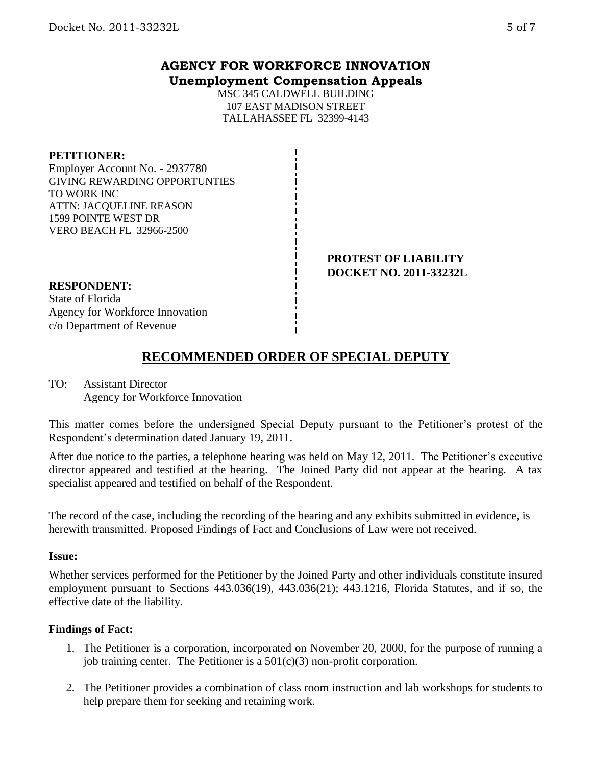## **AGENCY FOR WORKFORCE INNOVATION Unemployment Compensation Appeals**

MSC 345 CALDWELL BUILDING 107 EAST MADISON STREET TALLAHASSEE FL 32399-4143

#### **PETITIONER:**

Employer Account No. - 2937780 GIVING REWARDING OPPORTUNTIES TO WORK INC ATTN: JACQUELINE REASON 1599 POINTE WEST DR VERO BEACH FL 32966-2500

> **PROTEST OF LIABILITY DOCKET NO. 2011-33232L**

## **RESPONDENT:**

State of Florida Agency for Workforce Innovation c/o Department of Revenue

## **RECOMMENDED ORDER OF SPECIAL DEPUTY**

#### TO: Assistant Director Agency for Workforce Innovation

This matter comes before the undersigned Special Deputy pursuant to the Petitioner's protest of the Respondent's determination dated January 19, 2011.

After due notice to the parties, a telephone hearing was held on May 12, 2011. The Petitioner's executive director appeared and testified at the hearing. The Joined Party did not appear at the hearing. A tax specialist appeared and testified on behalf of the Respondent.

The record of the case, including the recording of the hearing and any exhibits submitted in evidence, is herewith transmitted. Proposed Findings of Fact and Conclusions of Law were not received.

#### **Issue:**

Whether services performed for the Petitioner by the Joined Party and other individuals constitute insured employment pursuant to Sections 443.036(19), 443.036(21); 443.1216, Florida Statutes, and if so, the effective date of the liability.

## **Findings of Fact:**

- 1. The Petitioner is a corporation, incorporated on November 20, 2000, for the purpose of running a job training center. The Petitioner is a  $501(c)(3)$  non-profit corporation.
- 2. The Petitioner provides a combination of class room instruction and lab workshops for students to help prepare them for seeking and retaining work.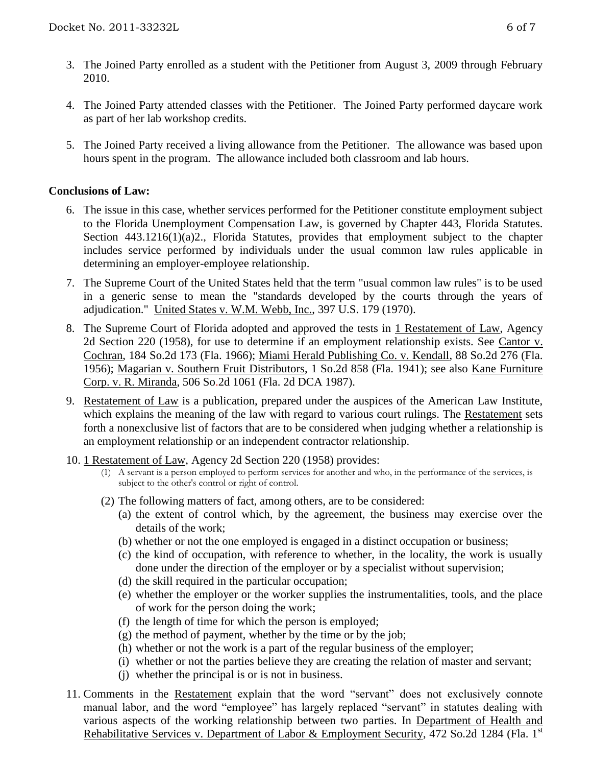- 3. The Joined Party enrolled as a student with the Petitioner from August 3, 2009 through February 2010.
- 4. The Joined Party attended classes with the Petitioner. The Joined Party performed daycare work as part of her lab workshop credits.
- 5. The Joined Party received a living allowance from the Petitioner. The allowance was based upon hours spent in the program. The allowance included both classroom and lab hours.

## **Conclusions of Law:**

- 6. The issue in this case, whether services performed for the Petitioner constitute employment subject to the Florida Unemployment Compensation Law, is governed by Chapter 443, Florida Statutes. Section 443.1216(1)(a)2., Florida Statutes, provides that employment subject to the chapter includes service performed by individuals under the usual common law rules applicable in determining an employer-employee relationship.
- 7. The Supreme Court of the United States held that the term "usual common law rules" is to be used in a generic sense to mean the "standards developed by the courts through the years of adjudication." United States v. W.M. Webb, Inc., 397 U.S. 179 (1970).
- 8. The Supreme Court of Florida adopted and approved the tests in 1 Restatement of Law, Agency 2d Section 220 (1958), for use to determine if an employment relationship exists. See Cantor v. Cochran, 184 So.2d 173 (Fla. 1966); Miami Herald Publishing Co. v. Kendall, 88 So.2d 276 (Fla. 1956); Magarian v. Southern Fruit Distributors, 1 So.2d 858 (Fla. 1941); see also Kane Furniture Corp. v. R. Miranda, 506 So.2d 1061 (Fla. 2d DCA 1987).
- 9. Restatement of Law is a publication, prepared under the auspices of the American Law Institute, which explains the meaning of the law with regard to various court rulings. The Restatement sets forth a nonexclusive list of factors that are to be considered when judging whether a relationship is an employment relationship or an independent contractor relationship.
- 10. 1 Restatement of Law, Agency 2d Section 220 (1958) provides:
	- (1) A servant is a person employed to perform services for another and who, in the performance of the services, is subject to the other's control or right of control.
	- (2) The following matters of fact, among others, are to be considered:
		- (a) the extent of control which, by the agreement, the business may exercise over the details of the work;
		- (b) whether or not the one employed is engaged in a distinct occupation or business;
		- (c) the kind of occupation, with reference to whether, in the locality, the work is usually done under the direction of the employer or by a specialist without supervision;
		- (d) the skill required in the particular occupation;
		- (e) whether the employer or the worker supplies the instrumentalities, tools, and the place of work for the person doing the work;
		- (f) the length of time for which the person is employed;
		- $(g)$  the method of payment, whether by the time or by the job;
		- (h) whether or not the work is a part of the regular business of the employer;
		- (i) whether or not the parties believe they are creating the relation of master and servant;
		- (j) whether the principal is or is not in business.
- 11. Comments in the Restatement explain that the word "servant" does not exclusively connote manual labor, and the word "employee" has largely replaced "servant" in statutes dealing with various aspects of the working relationship between two parties. In Department of Health and Rehabilitative Services v. Department of Labor & Employment Security, 472 So.2d 1284 (Fla. 1<sup>st</sup>